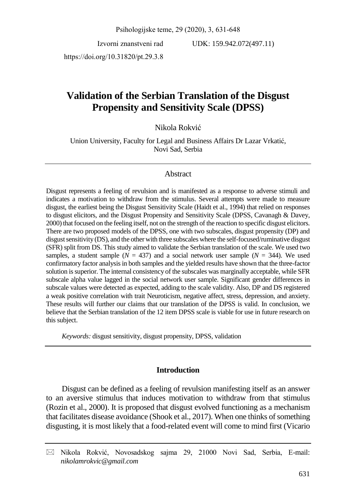Psihologijske teme, 29 (2020), 3, 631-648

Izvorni znanstveni rad

UDK: 159.942.072(497.11)

https://doi.org/10.31820/pt.29.3.8

# **Validation of the Serbian Translation of the Disgust Propensity and Sensitivity Scale (DPSS)**

Nikola Rokvić

Union University, Faculty for Legal and Business Affairs Dr Lazar Vrkatić, Novi Sad, Serbia

## Abstract

Disgust represents a feeling of revulsion and is manifested as a response to adverse stimuli and indicates a motivation to withdraw from the stimulus. Several attempts were made to measure disgust, the earliest being the Disgust Sensitivity Scale (Haidt et al., 1994) that relied on responses to disgust elicitors, and the Disgust Propensity and Sensitivity Scale (DPSS, Cavanagh & Davey, 2000) that focused on the feeling itself, not on the strength of the reaction to specific disgust elicitors. There are two proposed models of the DPSS, one with two subscales, disgust propensity (DP) and disgust sensitivity (DS), and the other with three subscales where the self-focused/ruminative disgust (SFR) split from DS. This study aimed to validate the Serbian translation of the scale. We used two samples, a student sample ( $N = 437$ ) and a social network user sample ( $N = 344$ ). We used confirmatory factor analysis in both samples and the yielded results have shown that the three-factor solution is superior. The internal consistency of the subscales was marginally acceptable, while SFR subscale alpha value lagged in the social network user sample. Significant gender differences in subscale values were detected as expected, adding to the scale validity. Also, DP and DS registered a weak positive correlation with trait Neuroticism, negative affect, stress, depression, and anxiety. These results will further our claims that our translation of the DPSS is valid. In conclusion, we believe that the Serbian translation of the 12 item DPSS scale is viable for use in future research on this subject.

*Keywords:* disgust sensitivity, disgust propensity, DPSS, validation

## **Introduction**

Disgust can be defined as a feeling of revulsion manifesting itself as an answer to an aversive stimulus that induces motivation to withdraw from that stimulus (Rozin et al., 2000). It is proposed that disgust evolved functioning as a mechanism that facilitates disease avoidance (Shook et al., 2017). When one thinks of something disgusting, it is most likely that a food-related event will come to mind first (Vicario

 $\boxtimes$  Nikola Rokvić, Novosadskog sajma 29, 21000 Novi Sad, Serbia, E-mail: *nikolamrokvic@gmail.com*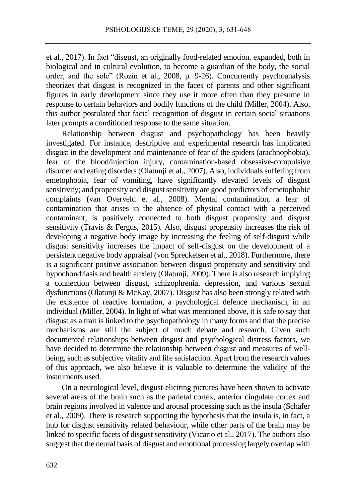et al., 2017). In fact "disgust, an originally food-related emotion, expanded, both in biological and in cultural evolution, to become a guardian of the body, the social order, and the sole" (Rozin et al., 2008, p. 9-26). Concurrently psychoanalysis theorizes that disgust is recognized in the faces of parents and other significant figures in early development since they use it more often than they presume in response to certain behaviors and bodily functions of the child (Miller, 2004). Also, this author postulated that facial recognition of disgust in certain social situations later prompts a conditioned response to the same situation.

Relationship between disgust and psychopathology has been heavily investigated. For instance, descriptive and experimental research has implicated disgust in the development and maintenance of fear of the spiders (arachnophobia), fear of the blood/injection injury, contamination-based obsessive-compulsive disorder and eating disorders (Olatunji et al., 2007). Also, individuals suffering from emetophobia, fear of vomiting, have significantly elevated levels of disgust sensitivity; and propensity and disgust sensitivity are good predictors of emetophobic complaints (van Overveld et al., 2008). Mental contamination, a fear of contamination that arises in the absence of physical contact with a perceived contaminant, is positively connected to both disgust propensity and disgust sensitivity (Travis & Fergus, 2015). Also, disgust propensity increases the risk of developing a negative body image by increasing the feeling of self-disgust while disgust sensitivity increases the impact of self-disgust on the development of a persistent negative body appraisal (von Spreckelsen et al., 2018). Furthermore, there is a significant positive association between disgust propensity and sensitivity and hypochondriasis and health anxiety (Olatunji, 2009). There is also research implying a connection between disgust, schizophrenia, depression, and various sexual dysfunctions (Olatunji & McKay, 2007). Disgust has also been strongly related with the existence of reactive formation, a psychological defence mechanism, in an individual (Miller, 2004). In light of what was mentioned above, it is safe to say that disgust as a trait is linked to the psychopathology in many forms and that the precise mechanisms are still the subject of much debate and research. Given such documented relationships between disgust and psychological distress factors, we have decided to determine the relationship between disgust and measures of wellbeing, such as subjective vitality and life satisfaction. Apart from the research values of this approach, we also believe it is valuable to determine the validity of the instruments used.

On a neurological level, disgust-eliciting pictures have been shown to activate several areas of the brain such as the parietal cortex, anterior cingulate cortex and brain regions involved in valence and arousal processing such as the insula (Schafer et al., 2009). There is research supporting the hypothesis that the insula is, in fact, a hub for disgust sensitivity related behaviour, while other parts of the brain may be linked to specific facets of disgust sensitivity (Vicario et al., 2017). The authors also suggest that the neural basis of disgust and emotional processing largely overlap with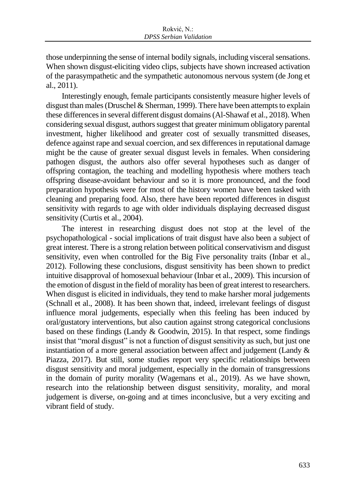those underpinning the sense of internal bodily signals, including visceral sensations. When shown disgust-eliciting video clips, subjects have shown increased activation of the parasympathetic and the sympathetic autonomous nervous system (de Jong et al., 2011).

Interestingly enough, female participants consistently measure higher levels of disgust than males (Druschel & Sherman, 1999). There have been attempts to explain these differences in several different disgust domains (Al-Shawaf et al., 2018). When considering sexual disgust, authors suggest that greater minimum obligatory parental investment, higher likelihood and greater cost of sexually transmitted diseases, defence against rape and sexual coercion, and sex differences in reputational damage might be the cause of greater sexual disgust levels in females. When considering pathogen disgust, the authors also offer several hypotheses such as danger of offspring contagion, the teaching and modelling hypothesis where mothers teach offspring disease-avoidant behaviour and so it is more pronounced, and the food preparation hypothesis were for most of the history women have been tasked with cleaning and preparing food. Also, there have been reported differences in disgust sensitivity with regards to age with older individuals displaying decreased disgust sensitivity (Curtis et al., 2004).

The interest in researching disgust does not stop at the level of the psychopathological - social implications of trait disgust have also been a subject of great interest. There is a strong relation between political conservativism and disgust sensitivity, even when controlled for the Big Five personality traits (Inbar et al., 2012). Following these conclusions, disgust sensitivity has been shown to predict intuitive disapproval of homosexual behaviour (Inbar et al., 2009). This incursion of the emotion of disgust in the field of morality has been of great interest to researchers. When disgust is elicited in individuals, they tend to make harsher moral judgements (Schnall et al., 2008). It has been shown that, indeed, irrelevant feelings of disgust influence moral judgements, especially when this feeling has been induced by oral/gustatory interventions, but also caution against strong categorical conclusions based on these findings (Landy & Goodwin, 2015). In that respect, some findings insist that "moral disgust" is not a function of disgust sensitivity as such, but just one instantiation of a more general association between affect and judgement (Landy & Piazza, 2017). But still, some studies report very specific relationships between disgust sensitivity and moral judgement, especially in the domain of transgressions in the domain of purity morality (Wagemans et al., 2019). As we have shown, research into the relationship between disgust sensitivity, morality, and moral judgement is diverse, on-going and at times inconclusive, but a very exciting and vibrant field of study.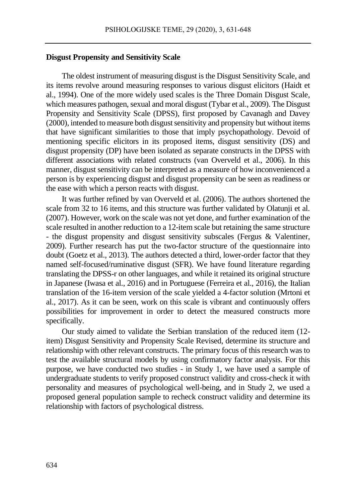## **Disgust Propensity and Sensitivity Scale**

The oldest instrument of measuring disgust is the Disgust Sensitivity Scale, and its items revolve around measuring responses to various disgust elicitors (Haidt et al., 1994). One of the more widely used scales is the Three Domain Disgust Scale, which measures pathogen, sexual and moral disgust (Tybar et al., 2009). The Disgust Propensity and Sensitivity Scale (DPSS), first proposed by Cavanagh and Davey (2000), intended to measure both disgust sensitivity and propensity but without items that have significant similarities to those that imply psychopathology. Devoid of mentioning specific elicitors in its proposed items, disgust sensitivity (DS) and disgust propensity (DP) have been isolated as separate constructs in the DPSS with different associations with related constructs (van Overveld et al., 2006). In this manner, disgust sensitivity can be interpreted as a measure of how inconvenienced a person is by experiencing disgust and disgust propensity can be seen as readiness or the ease with which a person reacts with disgust.

It was further refined by van Overveld et al. (2006). The authors shortened the scale from 32 to 16 items, and this structure was further validated by Olatunji et al. (2007). However, work on the scale was not yet done, and further examination of the scale resulted in another reduction to a 12-item scale but retaining the same structure - the disgust propensity and disgust sensitivity subscales (Fergus & Valentiner, 2009). Further research has put the two-factor structure of the questionnaire into doubt (Goetz et al., 2013). The authors detected a third, lower-order factor that they named self-focused/ruminative disgust (SFR). We have found literature regarding translating the DPSS-r on other languages, and while it retained its original structure in Japanese (Iwasa et al., 2016) and in Portuguese (Ferreira et al., 2016), the Italian translation of the 16-item version of the scale yielded a 4-factor solution (Mrtoni et al., 2017). As it can be seen, work on this scale is vibrant and continuously offers possibilities for improvement in order to detect the measured constructs more specifically.

Our study aimed to validate the Serbian translation of the reduced item (12 item) Disgust Sensitivity and Propensity Scale Revised, determine its structure and relationship with other relevant constructs. The primary focus of this research was to test the available structural models by using confirmatory factor analysis. For this purpose, we have conducted two studies - in Study 1, we have used a sample of undergraduate students to verify proposed construct validity and cross-check it with personality and measures of psychological well-being, and in Study 2, we used a proposed general population sample to recheck construct validity and determine its relationship with factors of psychological distress.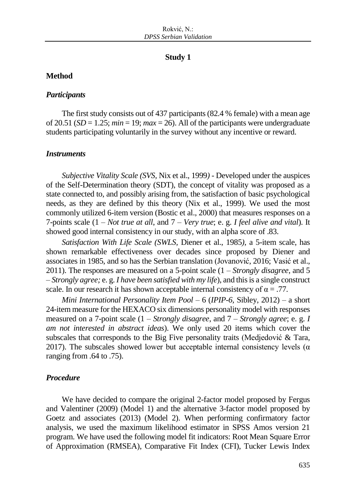#### **Study 1**

## **Method**

#### *Participants*

The first study consists out of 437 participants (82.4 % female) with a mean age of 20.51 ( $SD = 1.25$ ;  $min = 19$ ;  $max = 26$ ). All of the participants were undergraduate students participating voluntarily in the survey without any incentive or reward.

#### *Instruments*

*Subjective Vitality Scale (SVS,* Nix et al., 1999*)* - Developed under the auspices of the Self-Determination theory (SDT), the concept of vitality was proposed as a state connected to, and possibly arising from, the satisfaction of basic psychological needs, as they are defined by this theory (Nix et al., 1999). We used the most commonly utilized 6-item version (Bostic et al., 2000) that measures responses on a 7-points scale (1 – *Not true at all*, and 7 – *Very true*; e. g. *I feel alive and vital*). It showed good internal consistency in our study, with an alpha score of .83.

*Satisfaction With Life Scale (SWLS,* Diener et al., 1985*)*, a 5-item scale, has shown remarkable effectiveness over decades since proposed by Diener and associates in 1985, and so has the Serbian translation (Jovanović, 2016; Vasić et al., 2011). The responses are measured on a 5-point scale (1 – *Strongly disagree*, and 5 – *Strongly agree;* e. g. *I have been satisfied with my life*), and this is a single construct scale. In our research it has shown acceptable internal consistency of  $\alpha = .77$ .

*Mini International Personality Item Pool* – 6 (*IPIP-6,* Sibley, 2012) – a short 24-item measure for the HEXACO six dimensions personality model with responses measured on a 7-point scale (1 – *Strongly disagree*, and 7 – *Strongly agree*; e. g. *I am not interested in abstract ideas*). We only used 20 items which cover the subscales that corresponds to the Big Five personality traits (Medjedović & Tara, 2017). The subscales showed lower but acceptable internal consistency levels ( $\alpha$ ) ranging from .64 to .75).

## *Procedure*

We have decided to compare the original 2-factor model proposed by Fergus and Valentiner (2009) (Model 1) and the alternative 3-factor model proposed by Goetz and associates (2013) (Model 2). When performing confirmatory factor analysis, we used the maximum likelihood estimator in SPSS Amos version 21 program. We have used the following model fit indicators: Root Mean Square Error of Approximation (RMSEA), Comparative Fit Index (CFI), Tucker Lewis Index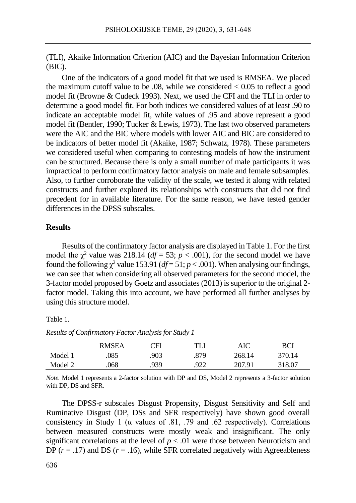(TLI), Akaike Information Criterion (AIC) and the Bayesian Information Criterion (BIC).

One of the indicators of a good model fit that we used is RMSEA. We placed the maximum cutoff value to be  $.08$ , while we considered  $< 0.05$  to reflect a good model fit (Browne & Cudeck 1993). Next, we used the CFI and the TLI in order to determine a good model fit. For both indices we considered values of at least .90 to indicate an acceptable model fit, while values of .95 and above represent a good model fit (Bentler, 1990; Tucker & Lewis, 1973). The last two observed parameters were the AIC and the BIC where models with lower AIC and BIC are considered to be indicators of better model fit (Akaike, 1987; Schwatz, 1978). These parameters we considered useful when comparing to contesting models of how the instrument can be structured. Because there is only a small number of male participants it was impractical to perform confirmatory factor analysis on male and female subsamples. Also, to further corroborate the validity of the scale, we tested it along with related constructs and further explored its relationships with constructs that did not find precedent for in available literature. For the same reason, we have tested gender differences in the DPSS subscales.

### **Results**

Results of the confirmatory factor analysis are displayed in Table 1. For the first model the  $\chi^2$  value was 218.14 ( $df = 53$ ;  $p < .001$ ), for the second model we have found the following  $\chi^2$  value 153.91 ( $df = 51$ ;  $p < .001$ ). When analysing our findings, we can see that when considering all observed parameters for the second model, the 3-factor model proposed by Goetz and associates (2013) is superior to the original 2 factor model. Taking this into account, we have performed all further analyses by using this structure model.

Table 1.

*Results of Confirmatory Factor Analysis for Study 1*

|         | RMSF A | ΓH   | TI   | AIC    | RCI                |
|---------|--------|------|------|--------|--------------------|
| Model 1 | 085    | .903 | .879 | 268.14 | <sup>3</sup> 70.14 |
| Model 2 | .068   | .939 | .922 | 207.91 | 318.07             |

*Note.* Model 1 represents a 2-factor solution with DP and DS, Model 2 represents a 3-factor solution with DP, DS and SFR.

The DPSS-r subscales Disgust Propensity, Disgust Sensitivity and Self and Ruminative Disgust (DP, DSs and SFR respectively) have shown good overall consistency in Study 1 ( $\alpha$  values of .81, .79 and .62 respectively). Correlations between measured constructs were mostly weak and insignificant. The only significant correlations at the level of  $p < .01$  were those between Neuroticism and DP  $(r = .17)$  and DS  $(r = .16)$ , while SFR correlated negatively with Agreeableness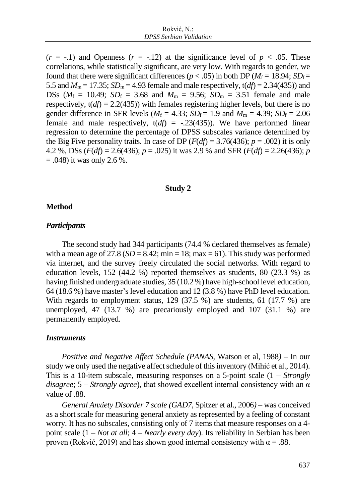$(r = -1)$  and Openness  $(r = -12)$  at the significance level of  $p < .05$ . These correlations, while statistically significant, are very low. With regards to gender, we found that there were significant differences ( $p < .05$ ) in both DP ( $M_f = 18.94$ ;  $SD_f =$ 5.5 and  $M_m = 17.35$ ;  $SD_m = 4.93$  female and male respectively,  $t(df) = 2.34(435)$ ) and DSs ( $M_f = 10.49$ ;  $SD_f = 3.68$  and  $M_m = 9.56$ ;  $SD_m = 3.51$  female and male respectively,  $t(df) = 2.2(435)$ ) with females registering higher levels, but there is no gender difference in SFR levels ( $M_f = 4.33$ ;  $SD_f = 1.9$  and  $M_m = 4.39$ ;  $SD_f = 2.06$ female and male respectively,  $t(df) = -.23(435)$ ). We have performed linear regression to determine the percentage of DPSS subscales variance determined by the Big Five personality traits. In case of DP ( $F(df) = 3.76(436)$ ;  $p = .002$ ) it is only 4.2 %, DSs  $(F(df) = 2.6(436); p = .025)$  it was 2.9 % and SFR  $(F(df) = 2.26(436); p$  $= .048$ ) it was only 2.6 %.

#### **Study 2**

## **Method**

#### *Participants*

The second study had 344 participants (74.4 % declared themselves as female) with a mean age of  $27.8$  ( $SD = 8.42$ ; min = 18; max = 61). This study was performed via internet, and the survey freely circulated the social networks. With regard to education levels, 152 (44.2 %) reported themselves as students, 80 (23.3 %) as having finished undergraduate studies, 35 (10.2 %) have high-school level education, 64 (18.6 %) have master's level education and 12 (3.8 %) have PhD level education. With regards to employment status, 129 (37.5 %) are students, 61 (17.7 %) are unemployed, 47 (13.7 %) are precariously employed and 107 (31.1 %) are permanently employed.

#### *Instruments*

*Positive and Negative Affect Schedule (PANAS,* Watson et al, 1988*)* – In our study we only used the negative affect schedule of this inventory (Mihić et al., 2014). This is a 10-item subscale, measuring responses on a 5-point scale (1 – *Strongly disagree*; 5 – *Strongly agree*), that showed excellent internal consistency with an α value of .88.

*General Anxiety Disorder 7 scale (GAD7*, Spitzer et al., 2006*)* – was conceived as a short scale for measuring general anxiety as represented by a feeling of constant worry. It has no subscales, consisting only of 7 items that measure responses on a 4 point scale (1 – *Not at all*; 4 – *Nearly every day*). Its reliability in Serbian has been proven (Rokvić, 2019) and has shown good internal consistency with  $\alpha = .88$ .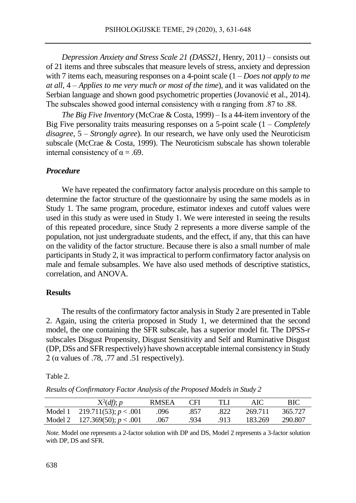*Depression Anxiety and Stress Scale 21 (DASS21,* Henry, 2011*)* – consists out of 21 items and three subscales that measure levels of stress, anxiety and depression with 7 items each, measuring responses on a 4-point scale (1 – *Does not apply to me at all*, 4 – *Applies to me very much or most of the time*), and it was validated on the Serbian language and shown good psychometric properties (Jovanović et al., 2014). The subscales showed good internal consistency with  $\alpha$  ranging from .87 to .88.

*The Big Five Inventory* (McCrae & Costa, 1999) – Is a 44-item inventory of the Big Five personality traits measuring responses on a 5-point scale (1 – *Completely disagree*, 5 – *Strongly agree*). In our research, we have only used the Neuroticism subscale (McCrae & Costa, 1999). The Neuroticism subscale has shown tolerable internal consistency of  $\alpha = .69$ .

## *Procedure*

We have repeated the confirmatory factor analysis procedure on this sample to determine the factor structure of the questionnaire by using the same models as in Study 1. The same program, procedure, estimator indexes and cutoff values were used in this study as were used in Study 1. We were interested in seeing the results of this repeated procedure, since Study 2 represents a more diverse sample of the population, not just undergraduate students, and the effect, if any, that this can have on the validity of the factor structure. Because there is also a small number of male participants in Study 2, it was impractical to perform confirmatory factor analysis on male and female subsamples. We have also used methods of descriptive statistics, correlation, and ANOVA.

## **Results**

The results of the confirmatory factor analysis in Study 2 are presented in Table 2. Again, using the criteria proposed in Study 1, we determined that the second model, the one containing the SFR subscale, has a superior model fit. The DPSS-r subscales Disgust Propensity, Disgust Sensitivity and Self and Ruminative Disgust (DP, DSs and SFR respectively) have shown acceptable internal consistency in Study 2 ( $\alpha$  values of .78, .77 and .51 respectively).

Table 2.

*Results of Confirmatory Factor Analysis of the Proposed Models in Study 2*

|         | $X^2(df)$ ; p                   | RMSEA | <b>CFI</b> | TLI  | AIC     | BIC     |
|---------|---------------------------------|-------|------------|------|---------|---------|
| Model 1 | 219.711(53); $p < .001$         | .096  | .857       | .822 | 269.711 | 365.727 |
|         | Model 2 127.369(50); $p < .001$ | .067  | .934       | .913 | 183.269 | 290.807 |

*Note.* Model one represents a 2-factor solution with DP and DS, Model 2 represents a 3-factor solution with DP, DS and SFR.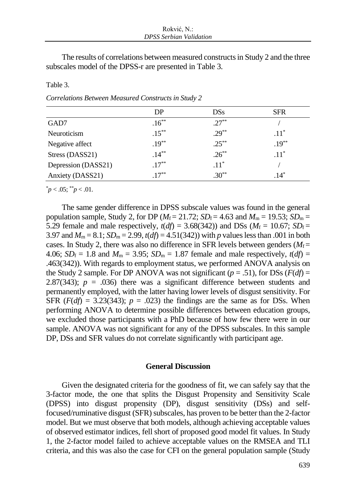The results of correlations between measured constructs in Study 2 and the three subscales model of the DPSS-r are presented in Table 3.

|                     | DP       | <b>DSs</b> | <b>SFR</b> |
|---------------------|----------|------------|------------|
| GAD7                | $.16***$ | $.27***$   |            |
| Neuroticism         | $.15***$ | $.29***$   | $.11^*$    |
| Negative affect     | $.19***$ | $.25***$   | $.19***$   |
| Stress (DASS21)     | $.14***$ | $.26***$   | $.11*$     |
| Depression (DASS21) | $.17***$ | $.11^*$    |            |
| Anxiety (DASS21)    | $17***$  | $.30**$    | $.14*$     |

Table 3.

*Correlations Between Measured Constructs in Study 2*

 $p < .05$ ;  $p < .01$ .

The same gender difference in DPSS subscale values was found in the general population sample, Study 2, for DP ( $M_f$  = 21.72; *SD*<sub>f</sub> = 4.63 and  $M_m$  = 19.53; *SD*<sub>m</sub> = 5.29 female and male respectively,  $t(df) = 3.68(342)$ ) and DSs ( $M_f = 10.67$ ;  $SD_f =$ 3.97 and  $M_m = 8.1$ ;  $SD_m = 2.99$ ,  $t(df) = 4.51(342)$ ) with *p* values less than .001 in both cases. In Study 2, there was also no difference in SFR levels between genders  $(M_f=$ 4.06;  $SD_f = 1.8$  and  $M_m = 3.95$ ;  $SD_m = 1.87$  female and male respectively,  $t(df) =$ .463(342)). With regards to employment status, we performed ANOVA analysis on the Study 2 sample. For DP ANOVA was not significant ( $p = .51$ ), for DSs ( $F(df) =$ 2.87(343);  $p = .036$ ) there was a significant difference between students and permanently employed, with the latter having lower levels of disgust sensitivity. For SFR  $(F(df) = 3.23(343); p = .023$  the findings are the same as for DSs. When performing ANOVA to determine possible differences between education groups, we excluded those participants with a PhD because of how few there were in our sample. ANOVA was not significant for any of the DPSS subscales. In this sample DP, DSs and SFR values do not correlate significantly with participant age.

## **General Discussion**

Given the designated criteria for the goodness of fit, we can safely say that the 3-factor mode, the one that splits the Disgust Propensity and Sensitivity Scale (DPSS) into disgust propensity (DP), disgust sensitivity (DSs) and selffocused/ruminative disgust (SFR) subscales, has proven to be better than the 2-factor model. But we must observe that both models, although achieving acceptable values of observed estimator indices, fell short of proposed good model fit values. In Study 1, the 2-factor model failed to achieve acceptable values on the RMSEA and TLI criteria, and this was also the case for CFI on the general population sample (Study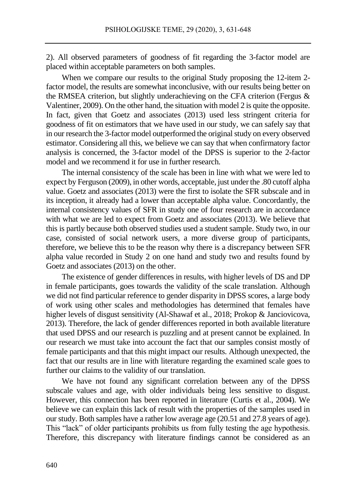2). All observed parameters of goodness of fit regarding the 3-factor model are placed within acceptable parameters on both samples.

When we compare our results to the original Study proposing the 12-item 2 factor model, the results are somewhat inconclusive, with our results being better on the RMSEA criterion, but slightly underachieving on the CFA criterion (Fergus & Valentiner, 2009). On the other hand, the situation with model 2 is quite the opposite. In fact, given that Goetz and associates (2013) used less stringent criteria for goodness of fit on estimators that we have used in our study, we can safely say that in our research the 3-factor model outperformed the original study on every observed estimator. Considering all this, we believe we can say that when confirmatory factor analysis is concerned, the 3-factor model of the DPSS is superior to the 2-factor model and we recommend it for use in further research.

The internal consistency of the scale has been in line with what we were led to expect by Ferguson (2009), in other words, acceptable, just under the .80 cutoff alpha value. Goetz and associates (2013) were the first to isolate the SFR subscale and in its inception, it already had a lower than acceptable alpha value. Concordantly, the internal consistency values of SFR in study one of four research are in accordance with what we are led to expect from Goetz and associates (2013). We believe that this is partly because both observed studies used a student sample. Study two, in our case, consisted of social network users, a more diverse group of participants, therefore, we believe this to be the reason why there is a discrepancy between SFR alpha value recorded in Study 2 on one hand and study two and results found by Goetz and associates (2013) on the other.

The existence of gender differences in results, with higher levels of DS and DP in female participants, goes towards the validity of the scale translation. Although we did not find particular reference to gender disparity in DPSS scores, a large body of work using other scales and methodologies has determined that females have higher levels of disgust sensitivity (Al-Shawaf et al., 2018; Prokop & Janciovicova, 2013). Therefore, the lack of gender differences reported in both available literature that used DPSS and our research is puzzling and at present cannot be explained. In our research we must take into account the fact that our samples consist mostly of female participants and that this might impact our results. Although unexpected, the fact that our results are in line with literature regarding the examined scale goes to further our claims to the validity of our translation.

We have not found any significant correlation between any of the DPSS subscale values and age, with older individuals being less sensitive to disgust. However, this connection has been reported in literature (Curtis et al., 2004). We believe we can explain this lack of result with the properties of the samples used in our study. Both samples have a rather low average age (20.51 and 27.8 years of age). This "lack" of older participants prohibits us from fully testing the age hypothesis. Therefore, this discrepancy with literature findings cannot be considered as an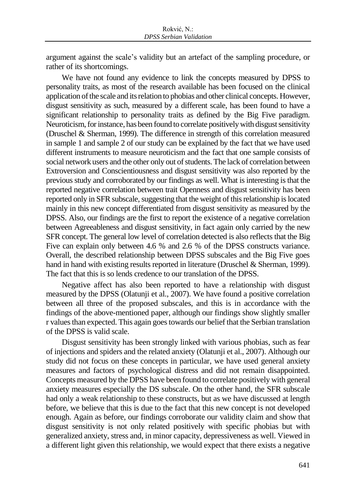argument against the scale's validity but an artefact of the sampling procedure, or rather of its shortcomings.

We have not found any evidence to link the concepts measured by DPSS to personality traits, as most of the research available has been focused on the clinical application of the scale and its relation to phobias and other clinical concepts. However, disgust sensitivity as such, measured by a different scale, has been found to have a significant relationship to personality traits as defined by the Big Five paradigm. Neuroticism,for instance, has been found to correlate positively with disgust sensitivity (Druschel & Sherman, 1999). The difference in strength of this correlation measured in sample 1 and sample 2 of our study can be explained by the fact that we have used different instruments to measure neuroticism and the fact that one sample consists of social network users and the other only out of students. The lack of correlation between Extroversion and Conscientiousness and disgust sensitivity was also reported by the previous study and corroborated by our findings as well. What is interesting is that the reported negative correlation between trait Openness and disgust sensitivity has been reported only in SFR subscale, suggesting that the weight of this relationship is located mainly in this new concept differentiated from disgust sensitivity as measured by the DPSS. Also, our findings are the first to report the existence of a negative correlation between Agreeableness and disgust sensitivity, in fact again only carried by the new SFR concept. The general low level of correlation detected is also reflects that the Big Five can explain only between 4.6 % and 2.6 % of the DPSS constructs variance. Overall, the described relationship between DPSS subscales and the Big Five goes hand in hand with existing results reported in literature (Druschel & Sherman, 1999). The fact that this is so lends credence to our translation of the DPSS.

Negative affect has also been reported to have a relationship with disgust measured by the DPSS (Olatunji et al., 2007). We have found a positive correlation between all three of the proposed subscales, and this is in accordance with the findings of the above-mentioned paper, although our findings show slightly smaller r values than expected. This again goes towards our belief that the Serbian translation of the DPSS is valid scale.

Disgust sensitivity has been strongly linked with various phobias, such as fear of injections and spiders and the related anxiety (Olatunji et al., 2007). Although our study did not focus on these concepts in particular, we have used general anxiety measures and factors of psychological distress and did not remain disappointed. Concepts measured by the DPSS have been found to correlate positively with general anxiety measures especially the DS subscale. On the other hand, the SFR subscale had only a weak relationship to these constructs, but as we have discussed at length before, we believe that this is due to the fact that this new concept is not developed enough. Again as before, our findings corroborate our validity claim and show that disgust sensitivity is not only related positively with specific phobias but with generalized anxiety, stress and, in minor capacity, depressiveness as well. Viewed in a different light given this relationship, we would expect that there exists a negative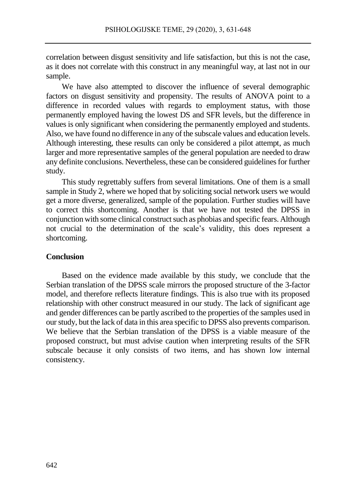correlation between disgust sensitivity and life satisfaction, but this is not the case, as it does not correlate with this construct in any meaningful way, at last not in our sample.

We have also attempted to discover the influence of several demographic factors on disgust sensitivity and propensity. The results of ANOVA point to a difference in recorded values with regards to employment status, with those permanently employed having the lowest DS and SFR levels, but the difference in values is only significant when considering the permanently employed and students. Also, we have found no difference in any of the subscale values and education levels. Although interesting, these results can only be considered a pilot attempt, as much larger and more representative samples of the general population are needed to draw any definite conclusions. Nevertheless, these can be considered guidelines for further study.

This study regrettably suffers from several limitations. One of them is a small sample in Study 2, where we hoped that by soliciting social network users we would get a more diverse, generalized, sample of the population. Further studies will have to correct this shortcoming. Another is that we have not tested the DPSS in conjunction with some clinical construct such as phobias and specific fears. Although not crucial to the determination of the scale's validity, this does represent a shortcoming.

## **Conclusion**

Based on the evidence made available by this study, we conclude that the Serbian translation of the DPSS scale mirrors the proposed structure of the 3-factor model, and therefore reflects literature findings. This is also true with its proposed relationship with other construct measured in our study. The lack of significant age and gender differences can be partly ascribed to the properties of the samples used in our study, but the lack of data in this area specific to DPSS also prevents comparison. We believe that the Serbian translation of the DPSS is a viable measure of the proposed construct, but must advise caution when interpreting results of the SFR subscale because it only consists of two items, and has shown low internal consistency.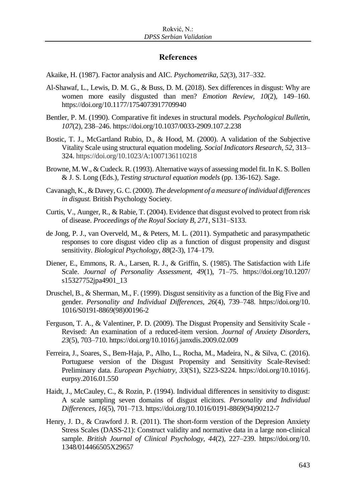## **References**

Akaike, H. (1987). Factor analysis and AIC. *Psychometrika, 52*(3)*,* 317–332.

- Al-Shawaf, L., Lewis, D. M. G., & Buss, D. M. (2018). Sex differences in disgust: Why are women more easily disgusted than men? *Emotion Review, 10*(2), 149–160. https://doi.org/10.1177/1754073917709940
- Bentler, P. M. (1990). Comparative fit indexes in structural models. *Psychological Bulletin, 107*(2), 238–246. https://doi.org/10.1037/0033-2909.107.2.238
- Bostic, T. J., McGartland Rubio, D., & Hood, M. (2000). A validation of the Subjective Vitality Scale using structural equation modeling. *Social Indicators Research, 52,* 313– 324. https://doi.org/10.1023/A:1007136110218
- Browne, M. W., & Cudeck. R. (1993). Alternative ways of assessing model fit. In K. S. Bollen & J. S. Long (Eds.), *Testing structural equation models* (pp. 136-162). Sage.
- Cavanagh, K., & Davey, G. C. (2000). *The development of a measure of individual differences in disgust.* British Psychology Society.
- Curtis, V., Aunger, R., & Rabie, T. (2004). Evidence that disgust evolved to protect from risk of disease. *Proceedings of the Royal Sociaty B, 271*, S131–S133.
- de Jong, P. J., van Overveld, M., & Peters, M. L. (2011). Sympathetic and parasympathetic responses to core disgust video clip as a function of disgust propensity and disgust sensitivity. *Biological Psychology*, *88*(2-3), 174–179.
- Diener, E., Emmons, R. A., Larsen, R. J., & Griffin, S. (1985). The Satisfaction with Life Scale. *Journal of Personality Assessment, 49*(1), 71–75. https://doi.org/10.1207/ s15327752jpa4901\_13
- Druschel, B., & Sherman, M., F. (1999). Disgust sensitivity as a function of the Big Five and gender. *Personality and Individual Differences*, *26*(4), 739–748. https://doi.org/10. 1016/S0191-8869(98)00196-2
- Ferguson, T. A., & Valentiner, P. D. (2009). The Disgust Propensity and Sensitivity Scale Revised: An examination of a reduced-item version. *Journal of Anxiety Disorders*, *23*(5), 703–710. https://doi.org/10.1016/j.janxdis.2009.02.009
- Ferreira, J., Soares, S., Bem-Haja, P., Alho, L., Rocha, M., Madeira, N., & Silva, C. (2016). Portuguese version of the Disgust Propensity and Sensitivity Scale-Revised: Preliminary data. *European Psychiatry, 33*(S1), S223-S224. https://doi.org/10.1016/j. eurpsy.2016.01.550
- Haidt, J., McCauley, C., & Rozin, P. (1994). Individual differences in sensitivity to disgust: A scale sampling seven domains of disgust elicitors. *Personality and Individual Differences, 16*(5), 701–713. https://doi.org/10.1016/0191-8869(94)90212-7
- Henry, J. D., & Crawford J. R. (2011). The short-form verstion of the Depresion Anxiety Stress Scales (DASS-21): Construct validity and normative data in a large non-clinical sample. *British Journal of Clinical Psychology, 44*(2), 227–239. https://doi.org/10. 1348/014466505X29657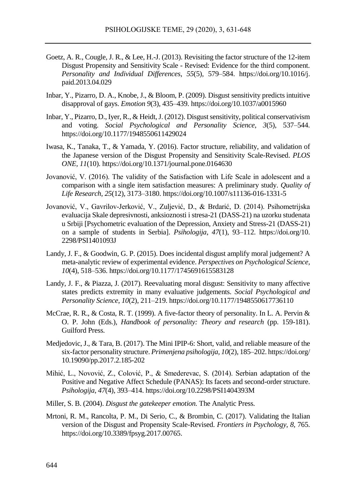- Goetz, A. R., Cougle, J. R., & Lee, H.-J. (2013). Revisiting the factor structure of the 12-item Disgust Propensity and Sensitivity Scale - Revised: Evidence for the third component. *Personality and Individual Differences*, *55*(5), 579–584. https://doi.org/10.1016/j. paid.2013.04.029
- Inbar, Y., Pizarro, D. A., Knobe, J., & Bloom, P. (2009). Disgust sensitivity predicts intuitive disapproval of gays. *Emotion 9*(3), 435–439. https://doi.org/10.1037/a0015960
- Inbar, Y., Pizarro, D., Iyer, R., & Heidt, J. (2012). Disgust sensitivity, political conservativism and voting. *Social Psychological and Personality Science*, *3*(5), 537–544. https://doi.org/10.1177/1948550611429024
- Iwasa, K., Tanaka, T., & Yamada, Y. (2016). Factor structure, reliability, and validation of the Japanese version of the Disgust Propensity and Sensitivity Scale-Revised. *PLOS ONE*, *11*(10). https://doi.org/10.1371/journal.pone.0164630
- Jovanović, V. (2016). The validity of the Satisfaction with Life Scale in adolescent and a comparison with a single item satisfaction measures: A preliminary study. *Quality of Life Research*, *25*(12), 3173–3180. https://doi.org/10.1007/s11136-016-1331-5
- Jovanović, V., Gavrilov-Jerković, V., Zuljević, D., & Brdarić, D. (2014). Psihometrijska evaluacija Skale depresivnosti, anksioznosti i stresa-21 (DASS-21) na uzorku studenata u Srbiji [Psychometric evaluation of the Depression, Anxiety and Stress-21 (DASS-21) on a sample of students in Serbia]. *Psihologija*, *47*(1), 93–112. https://doi.org/10. 2298/PSI1401093J
- Landy, J. F., & Goodwin, G. P. (2015). Does incidental disgust amplify moral judgement? A meta-analytic review of experimental evidence. *Perspectives on Psychological Science, 10*(4), 518–536. https://doi.org/10.1177/1745691615583128
- Landy, J. F., & Piazza, J. (2017). Reevaluating moral disgust: Sensitivity to many affective states predicts extremity in many evaluative judgements. *Social Psychological and Personality Science*, *10*(2), 211–219. https://doi.org/10.1177/1948550617736110
- McCrae, R. R., & Costa, R. T. (1999). A five-factor theory of personality. In L. A. Pervin & O. P. John (Eds.), *Handbook of personality: Theory and research* (pp. 159-181). Guilford Press.
- Medjedovic, J., & Tara, B. (2017). The Mini IPIP-6: Short, valid, and reliable measure of the six-factor personality structure. *Primenjena psihologija*, *10*(2), 185–202. https://doi.org/ 10.19090/pp.2017.2.185-202
- Mihić, L., Novović, Z., Colović, P., & Smederevac, S. (2014). Serbian adaptation of the Positive and Negative Affect Schedule (PANAS): Its facets and second-order structure. *Psihologija*, *47*(4), 393–414. https://doi.org/10.2298/PSI1404393M
- Miller, S. B. (2004). *Disgust the gatekeeper emotion.* The Analytic Press.
- Mrtoni, R. M., Rancolta, P. M., Di Serio, C., & Brombin, C. (2017). Validating the Italian version of the Disgust and Propensity Scale-Revised. *Frontiers in Psychology*, *8*, 765. https://doi.org/10.3389/fpsyg.2017.00765.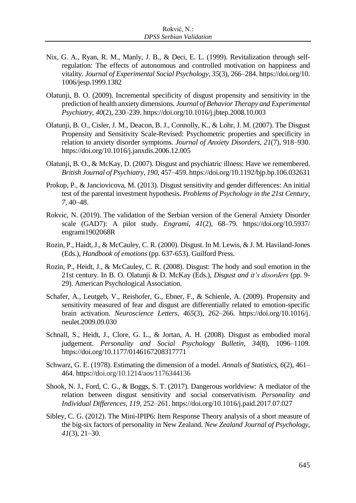- Nix, G. A., Ryan, R. M., Manly, J. B., & Deci, E. L. (1999). Revitalization through selfregulation: The effects of autonomous and controlled motivation on happiness and vitality. *Journal of Experimental Social Psychology*, *35*(3), 266–284. https://doi.org/10. 1006/jesp.1999.1382
- Olatunji, B. O. (2009). Incremental specificity of disgust propensity and sensitivity in the prediction of health anxiety dimensions. *Journal of Behavior Therapy and Experimental Psychiatry*, *40*(2), 230–239. https://doi.org/10.1016/j.jbtep.2008.10.003
- Olatunji, B. O., Cisler, J. M., Deacon, B. J., Connolly, K., & Lohr, J. M. (2007). The Disgust Propensity and Sensitivity Scale-Revised: Psychometric properties and specificity in relation to anxiety disorder symptoms. *Journal of Anxiety Disorders*, *21*(7), 918–930. https://doi.org/10.1016/j.janxdis.2006.12.005
- Olatunji, B. O., & McKay, D. (2007). Disgust and psychiatric illness: Have we remembered. *British Journal of Psychiatry, 190*, 457–459. https://doi.org/10.1192/bjp.bp.106.032631
- Prokop, P., & Janciovicova, M. (2013). Disgust sensitivity and gender differences: An initial test of the parental investment hypothesis. *Problems of Psychology in the 21st Century*, *7*, 40–48.
- Rokvic, N. (2019). The validation of the Serbian version of the General Anxiety Disorder scale (GAD7): A pilot study. *Engrami, 41*(2), 68–79. https://doi.org/10.5937/ engrami1902068R
- Rozin, P., Haidt, J., & McCauley, C. R. (2000). Disgust. In M. Lewis, & J. M. Haviland-Jones (Eds.), *Handbook of emotions* (pp. 637-653). Guilford Press.
- Rozin, P., Heidt, J., & McCauley, C. R. (2008). Disgust: The body and soul emotion in the 21st century. In B. O. Olatunji & D. McKay (Eds.), *Disgust and it's disorders* (pp. 9- 29). American Psychological Association.
- Schafer, A., Leutgeb, V., Reishofer, G., Ebner, F., & Schienle, A. (2009). Propensity and sensitivity measured of fear and disgust are differentially related to emotion-specific brain activation. *Neuroscience Letters*, *465*(3), 262–266. https://doi.org/10.1016/j. neulet.2009.09.030
- Schnall, S., Heidt, J., Clore, G. L., & Jortan, A. H. (2008). Disgust as embodied moral judgement. *Personality and Social Psychology Bulletin*, *34*(8), 1096–1109. https://doi.org/10.1177/0146167208317771
- Schwarz, G. E. (1978). Estimating the dimension of a model. *Annals of Statistics, 6*(2), 461– 464. https://doi.org/10.1214/aos/1176344136
- Shook, N. J., Ford, C. G., & Boggs, S. T. (2017). Dangerous worldview: A mediator of the relation between disgust sensitivity and social conservativism. *Personality and Individual Differences, 119*, 252–261. https://doi.org/10.1016/j.paid.2017.07.027
- Sibley, C. G. (2012). The Mini-IPIP6: Item Response Theory analysis of a short measure of the big-six factors of personality in New Zealand. *New Zealand Journal of Psychology, 41*(3), 21–30.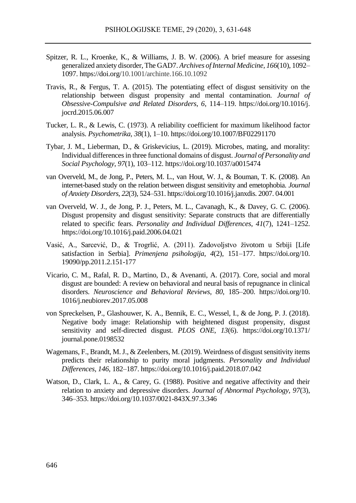- Spitzer, R. L., Kroenke, K., & Williams, J. B. W. (2006). A brief measure for assesing generalized anxiety disorder, The GAD7. *Archives of Internal Medicine, 166*(10), 1092– 1097. https://doi.org/10.1001/archinte.166.10.1092
- Travis, R., & Fergus, T. A. (2015). The potentiating effect of disgust sensitivity on the relationship between disgust propensity and mental contamination. *Journal of Obsessive-Compulsive and Related Disorders*, *6*, 114–119. https://doi.org/10.1016/j. jocrd.2015.06.007
- Tucker, L. R., & Lewis, C. (1973). A reliability coefficient for maximum likelihood factor analysis. *Psychometrika, 38*(1), 1–10. https://doi.org/10.1007/BF02291170
- Tybar, J. M., Lieberman, D., & Griskevicius, L. (2019). Microbes, mating, and morality: Individual differences in three functional domains of disgust. *Journal of Personality and Social Psychology*, *97*(1), 103–112. https://doi.org/10.1037/a0015474
- van Overveld, M., de Jong, P., Peters, M. L., van Hout, W. J., & Bouman, T. K. (2008). An internet-based study on the relation between disgust sensitivity and emetophobia. *Journal of Anxiety Disorders*, *22*(3), 524–531. https://doi.org/10.1016/j.janxdis. 2007. 04.001
- van Overveld, W. J., de Jong, P. J., Peters, M. L., Cavanagh, K., & Davey, G. C. (2006). Disgust propensity and disgust sensitivity: Separate constructs that are differentially related to specific fears. *Personality and Individual Differences*, *41*(7), 1241–1252. https://doi.org/10.1016/j.paid.2006.04.021
- Vasić, A., Sarcević, D., & Trogrlić, A. (2011). Zadovoljstvo životom u Srbiji [Life satisfaction in Serbia]. *Primenjena psihologija*, *4*(2), 151–177. https://doi.org/10. 19090/pp.2011.2.151-177
- Vicario, C. M., Rafal, R. D., Martino, D., & Avenanti, A. (2017). Core, social and moral disgust are bounded: A review on behavioral and neural basis of repugnance in clinical disorders. *Neuroscience and Behavioral Reviews*, *80*, 185–200. https://doi.org/10. 1016/j.neubiorev.2017.05.008
- von Spreckelsen, P., Glashouwer, K. A., Bennik, E. C., Wessel, I., & de Jong, P. J. (2018). Negative body image: Relationship with heightened disgust propensity, disgust sensitivity and self-directed disgust. *PLOS ONE*, *13*(6). https://doi.org/10.1371/ journal.pone.0198532
- Wagemans, F., Brandt, M. J., & Zeelenbers, M. (2019). Weirdness of disgust sensitivity items predicts their relationship to purity moral judgments. *Personality and Individual Differences*, *146*, 182–187. https://doi.org/10.1016/j.paid.2018.07.042
- Watson, D., Clark, L. A., & Carey, G. (1988). Positive and negative affectivity and their relation to anxiety and depressive disorders. *Journal of Abnormal Psychology, 97*(3), 346–353. https://doi.org/10.1037/0021-843X.97.3.346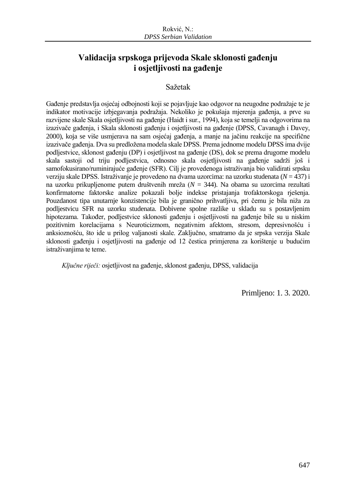## **Validacija srpskoga prijevoda Skale sklonosti gađenju i osjetljivosti na gađenje**

## Sažetak

Gađenje predstavlja osjećaj odbojnosti koji se pojavljuje kao odgovor na neugodne podražaje te je indikator motivacije izbjegavanja podražaja. Nekoliko je pokušaja mjerenja gađenja, a prve su razvijene skale Skala osjetljivosti na gađenje (Haidt i sur., 1994), koja se temelji na odgovorima na izazivače gađenja, i Skala sklonosti gađenju i osjetljivosti na gađenje (DPSS, Cavanagh i Davey, 2000), koja se više usmjerava na sam osjećaj gađenja, a manje na jačinu reakcije na specifične izazivače gađenja. Dva su predložena modela skale DPSS. Prema jednome modelu DPSS ima dvije podljestvice, sklonost gađenju (DP) i osjetljivost na gađenje (DS), dok se prema drugome modelu skala sastoji od triju podljestvica, odnosno skala osjetljivosti na gađenje sadrži još i samofokusirano/ruminirajuće gađenje (SFR). Cilj je provedenoga istraživanja bio validirati srpsku verziju skale DPSS. Istraživanje je provedeno na dvama uzorcima: na uzorku studenata (*N* = 437) i na uzorku prikupljenome putem društvenih mreža (*N* = 344). Na obama su uzorcima rezultati konfirmatorne faktorske analize pokazali bolje indekse pristajanja trofaktorskoga rješenja. Pouzdanost tipa unutarnje konzistencije bila je granično prihvatljiva, pri čemu je bila niža za podljestvicu SFR na uzorku studenata. Dobivene spolne razlike u skladu su s postavljenim hipotezama. Također, podljestvice sklonosti gađenju i osjetljivosti na gađenje bile su u niskim pozitivnim korelacijama s Neuroticizmom, negativnim afektom, stresom, depresivnošću i anksioznošću, što ide u prilog valjanosti skale. Zaključno, smatramo da je srpska verzija Skale sklonosti gađenju i osjetljivosti na gađenje od 12 čestica primjerena za korištenje u budućim istraživanjima te teme.

*Ključne riječi:* osjetljivost na gađenje, sklonost gađenju, DPSS, validacija

Primljeno: 1. 3. 2020.